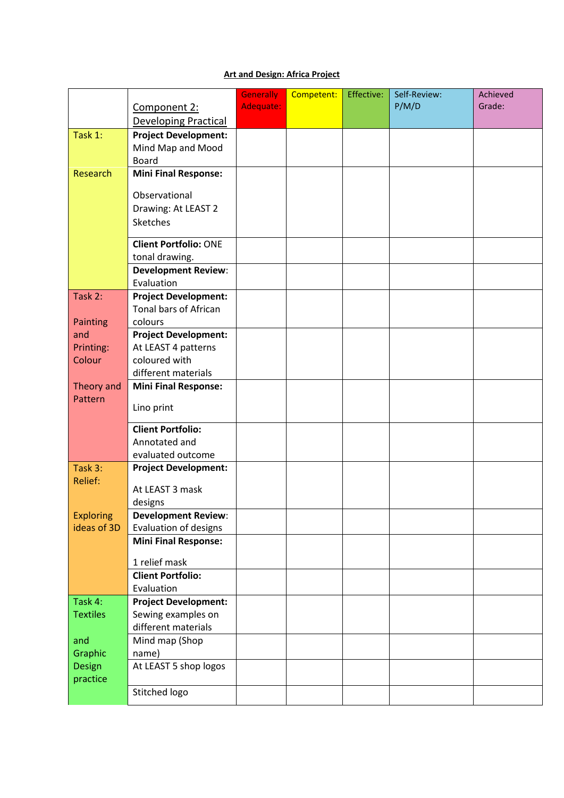## **Art and Design: Africa Project**

|                  |                                       | <b>Generally</b> | Competent: | Effective: | Self-Review: | Achieved |
|------------------|---------------------------------------|------------------|------------|------------|--------------|----------|
|                  | Component 2:                          | Adequate:        |            |            | P/M/D        | Grade:   |
|                  | <b>Developing Practical</b>           |                  |            |            |              |          |
| Task 1:          | <b>Project Development:</b>           |                  |            |            |              |          |
|                  | Mind Map and Mood                     |                  |            |            |              |          |
|                  | <b>Board</b>                          |                  |            |            |              |          |
| Research         | <b>Mini Final Response:</b>           |                  |            |            |              |          |
|                  |                                       |                  |            |            |              |          |
|                  | Observational                         |                  |            |            |              |          |
|                  | Drawing: At LEAST 2                   |                  |            |            |              |          |
|                  | <b>Sketches</b>                       |                  |            |            |              |          |
|                  | <b>Client Portfolio: ONE</b>          |                  |            |            |              |          |
|                  | tonal drawing.                        |                  |            |            |              |          |
|                  | <b>Development Review:</b>            |                  |            |            |              |          |
|                  | Evaluation                            |                  |            |            |              |          |
| Task 2:          | <b>Project Development:</b>           |                  |            |            |              |          |
|                  | Tonal bars of African                 |                  |            |            |              |          |
| Painting         | colours                               |                  |            |            |              |          |
| and              | <b>Project Development:</b>           |                  |            |            |              |          |
| Printing:        | At LEAST 4 patterns                   |                  |            |            |              |          |
| Colour           | coloured with                         |                  |            |            |              |          |
|                  | different materials                   |                  |            |            |              |          |
| Theory and       | <b>Mini Final Response:</b>           |                  |            |            |              |          |
| Pattern          |                                       |                  |            |            |              |          |
|                  | Lino print                            |                  |            |            |              |          |
|                  | <b>Client Portfolio:</b>              |                  |            |            |              |          |
|                  | Annotated and                         |                  |            |            |              |          |
|                  | evaluated outcome                     |                  |            |            |              |          |
| Task 3:          | <b>Project Development:</b>           |                  |            |            |              |          |
| Relief:          | At LEAST 3 mask                       |                  |            |            |              |          |
|                  |                                       |                  |            |            |              |          |
| <b>Exploring</b> | designs<br><b>Development Review:</b> |                  |            |            |              |          |
| ideas of 3D      | Evaluation of designs                 |                  |            |            |              |          |
|                  | <b>Mini Final Response:</b>           |                  |            |            |              |          |
|                  |                                       |                  |            |            |              |          |
|                  | 1 relief mask                         |                  |            |            |              |          |
|                  | <b>Client Portfolio:</b>              |                  |            |            |              |          |
|                  | Evaluation                            |                  |            |            |              |          |
| Task 4:          | <b>Project Development:</b>           |                  |            |            |              |          |
| <b>Textiles</b>  | Sewing examples on                    |                  |            |            |              |          |
|                  | different materials                   |                  |            |            |              |          |
| and              | Mind map (Shop                        |                  |            |            |              |          |
| Graphic          | name)                                 |                  |            |            |              |          |
| Design           | At LEAST 5 shop logos                 |                  |            |            |              |          |
| practice         |                                       |                  |            |            |              |          |
|                  | Stitched logo                         |                  |            |            |              |          |